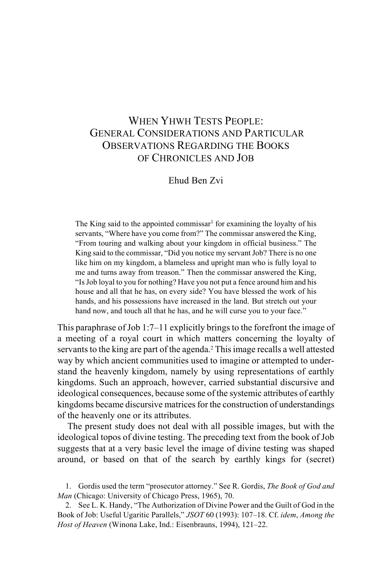## WHEN YHWH TESTS PEOPLE: GENERAL CONSIDERATIONS AND PARTICULAR OBSERVATIONS REGARDING THE BOOKS OF CHRONICLES AND JOB

## Ehud Ben Zvi

The King said to the appointed commissar<sup>1</sup> for examining the loyalty of his servants, "Where have you come from?" The commissar answered the King, "From touring and walking about your kingdom in official business." The King said to the commissar, "Did you notice my servant Job? There is no one like him on my kingdom, a blameless and upright man who is fully loyal to me and turns away from treason." Then the commissar answered the King, "Is Job loyal to you for nothing? Have you not put a fence around him and his house and all that he has, on every side? You have blessed the work of his hands, and his possessions have increased in the land. But stretch out your hand now, and touch all that he has, and he will curse you to your face."

This paraphrase of Job 1:7–11 explicitly brings to the forefront the image of a meeting of a royal court in which matters concerning the loyalty of servants to the king are part of the agenda.<sup>2</sup> This image recalls a well attested way by which ancient communities used to imagine or attempted to understand the heavenly kingdom, namely by using representations of earthly kingdoms. Such an approach, however, carried substantial discursive and ideological consequences, because some of the systemic attributes of earthly kingdoms became discursive matrices for the construction of understandings of the heavenly one or its attributes.

 The present study does not deal with all possible images, but with the ideological topos of divine testing. The preceding text from the book of Job suggests that at a very basic level the image of divine testing was shaped around, or based on that of the search by earthly kings for (secret)

 <sup>1.</sup> Gordis used the term "prosecutor attorney." See R. Gordis, *The Book of God and Man* (Chicago: University of Chicago Press, 1965), 70.

 <sup>2.</sup> See L. K. Handy, "The Authorization of Divine Power and the Guilt of God in the Book of Job: Useful Ugaritic Parallels," *JSOT* 60 (1993): 107–18. Cf. *idem*, *Among the Host of Heaven* (Winona Lake, Ind.: Eisenbrauns, 1994), 121–22.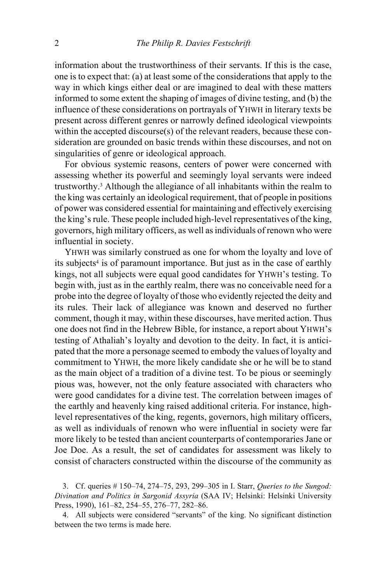information about the trustworthiness of their servants. If this is the case, one is to expect that: (a) at least some of the considerations that apply to the way in which kings either deal or are imagined to deal with these matters informed to some extent the shaping of images of divine testing, and (b) the influence of these considerations on portrayals of YHWH in literary texts be present across different genres or narrowly defined ideological viewpoints within the accepted discourse(s) of the relevant readers, because these consideration are grounded on basic trends within these discourses, and not on singularities of genre or ideological approach.

 For obvious systemic reasons, centers of power were concerned with assessing whether its powerful and seemingly loyal servants were indeed trustworthy.3 Although the allegiance of all inhabitants within the realm to the king was certainly an ideological requirement, that of people in positions of power was considered essential for maintaining and effectively exercising the king's rule. These people included high-level representatives of the king, governors, high military officers, as well as individuals of renown who were influential in society.

 YHWH was similarly construed as one for whom the loyalty and love of its subjects<sup>4</sup> is of paramount importance. But just as in the case of earthly kings, not all subjects were equal good candidates for YHWH's testing. To begin with, just as in the earthly realm, there was no conceivable need for a probe into the degree of loyalty of those who evidently rejected the deity and its rules. Their lack of allegiance was known and deserved no further comment, though it may, within these discourses, have merited action. Thus one does not find in the Hebrew Bible, for instance, a report about YHWH's testing of Athaliah's loyalty and devotion to the deity. In fact, it is anticipated that the more a personage seemed to embody the values of loyalty and commitment to YHWH, the more likely candidate she or he will be to stand as the main object of a tradition of a divine test. To be pious or seemingly pious was, however, not the only feature associated with characters who were good candidates for a divine test. The correlation between images of the earthly and heavenly king raised additional criteria. For instance, highlevel representatives of the king, regents, governors, high military officers, as well as individuals of renown who were influential in society were far more likely to be tested than ancient counterparts of contemporaries Jane or Joe Doe. As a result, the set of candidates for assessment was likely to consist of characters constructed within the discourse of the community as

 3. Cf. queries # 150–74, 274–75, 293, 299–305 in I. Starr, *Queries to the Sungod: Divination and Politics in Sargonid Assyria* (SAA IV; Helsinki: Helsinki University Press, 1990), 161–82, 254–55, 276–77, 282–86.

 4. All subjects were considered "servants" of the king. No significant distinction between the two terms is made here.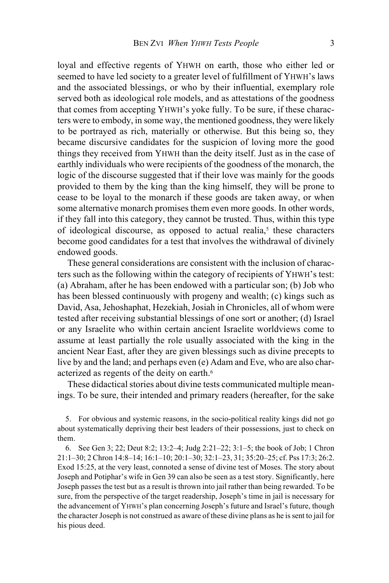loyal and effective regents of YHWH on earth, those who either led or seemed to have led society to a greater level of fulfillment of YHWH's laws and the associated blessings, or who by their influential, exemplary role served both as ideological role models, and as attestations of the goodness that comes from accepting YHWH's yoke fully. To be sure, if these characters were to embody, in some way, the mentioned goodness, they were likely to be portrayed as rich, materially or otherwise. But this being so, they became discursive candidates for the suspicion of loving more the good things they received from YHWH than the deity itself. Just as in the case of earthly individuals who were recipients of the goodness of the monarch, the logic of the discourse suggested that if their love was mainly for the goods provided to them by the king than the king himself, they will be prone to cease to be loyal to the monarch if these goods are taken away, or when some alternative monarch promises them even more goods. In other words, if they fall into this category, they cannot be trusted. Thus, within this type of ideological discourse, as opposed to actual realia, $5$  these characters become good candidates for a test that involves the withdrawal of divinely endowed goods.

 These general considerations are consistent with the inclusion of characters such as the following within the category of recipients of YHWH's test: (a) Abraham, after he has been endowed with a particular son; (b) Job who has been blessed continuously with progeny and wealth; (c) kings such as David, Asa, Jehoshaphat, Hezekiah, Josiah in Chronicles, all of whom were tested after receiving substantial blessings of one sort or another; (d) Israel or any Israelite who within certain ancient Israelite worldviews come to assume at least partially the role usually associated with the king in the ancient Near East, after they are given blessings such as divine precepts to live by and the land; and perhaps even (e) Adam and Eve, who are also characterized as regents of the deity on earth.<sup>6</sup>

 These didactical stories about divine tests communicated multiple meanings. To be sure, their intended and primary readers (hereafter, for the sake

 5. For obvious and systemic reasons, in the socio-political reality kings did not go about systematically depriving their best leaders of their possessions, just to check on them.

 6. See Gen 3; 22; Deut 8:2; 13:2–4; Judg 2:21–22; 3:1–5; the book of Job; 1 Chron 21:1–30; 2 Chron 14:8–14; 16:1–10; 20:1–30; 32:1–23, 31; 35:20–25; cf. Pss 17:3; 26:2. Exod 15:25, at the very least, connoted a sense of divine test of Moses. The story about Joseph and Potiphar's wife in Gen 39 can also be seen as a test story. Significantly, here Joseph passes the test but as a result is thrown into jail rather than being rewarded. To be sure, from the perspective of the target readership, Joseph's time in jail is necessary for the advancement of YHWH's plan concerning Joseph's future and Israel's future, though the character Joseph is not construed as aware of these divine plans as he is sent to jail for his pious deed.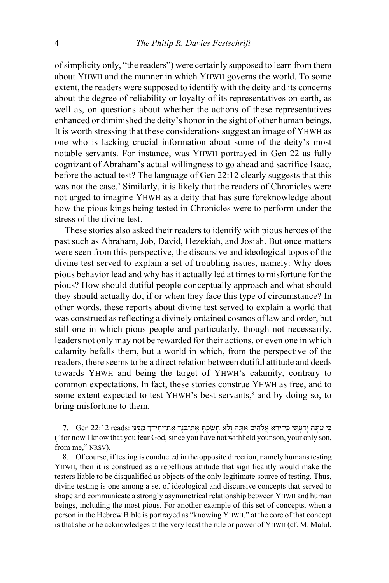of simplicity only, "the readers") were certainly supposed to learn from them about YHWH and the manner in which YHWH governs the world. To some extent, the readers were supposed to identify with the deity and its concerns about the degree of reliability or loyalty of its representatives on earth, as well as, on questions about whether the actions of these representatives enhanced or diminished the deity's honor in the sight of other human beings. It is worth stressing that these considerations suggest an image of YHWH as one who is lacking crucial information about some of the deity's most notable servants. For instance, was YHWH portrayed in Gen 22 as fully cognizant of Abraham's actual willingness to go ahead and sacrifice Isaac, before the actual test? The language of Gen 22:12 clearly suggests that this was not the case.<sup>7</sup> Similarly, it is likely that the readers of Chronicles were not urged to imagine YHWH as a deity that has sure foreknowledge about how the pious kings being tested in Chronicles were to perform under the stress of the divine test.

 These stories also asked their readers to identify with pious heroes of the past such as Abraham, Job, David, Hezekiah, and Josiah. But once matters were seen from this perspective, the discursive and ideological topos of the divine test served to explain a set of troubling issues, namely: Why does pious behavior lead and why has it actually led at times to misfortune for the pious? How should dutiful people conceptually approach and what should they should actually do, if or when they face this type of circumstance? In other words, these reports about divine test served to explain a world that was construed as reflecting a divinely ordained cosmos of law and order, but still one in which pious people and particularly, though not necessarily, leaders not only may not be rewarded for their actions, or even one in which calamity befalls them, but a world in which, from the perspective of the readers, there seems to be a direct relation between dutiful attitude and deeds towards YHWH and being the target of YHWH's calamity, contrary to common expectations. In fact, these stories construe YHWH as free, and to some extent expected to test YHWH's best servants,<sup>8</sup> and by doing so, to bring misfortune to them.

 $7.~$  Gen  $22.12$  reads: כּי עִתּה יִדעתִי כּי־יִרא אַלהים אַתּה ולֹא חשׂכת ַאת־בּנִדְ אַת־יחידךָ מִמְּנֵי ("for now I know that you fear God, since you have not withheld your son, your only son, from me," NRSV).

 8. Of course, if testing is conducted in the opposite direction, namely humans testing YHWH, then it is construed as a rebellious attitude that significantly would make the testers liable to be disqualified as objects of the only legitimate source of testing. Thus, divine testing is one among a set of ideological and discursive concepts that served to shape and communicate a strongly asymmetrical relationship between YHWH and human beings, including the most pious. For another example of this set of concepts, when a person in the Hebrew Bible is portrayed as "knowing YHWH," at the core of that concept is that she or he acknowledges at the very least the rule or power of YHWH (cf. M. Malul,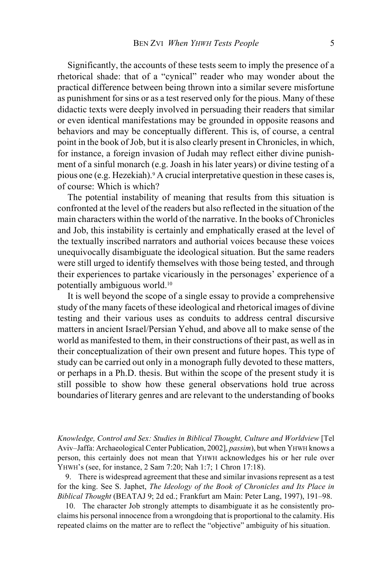Significantly, the accounts of these tests seem to imply the presence of a rhetorical shade: that of a "cynical" reader who may wonder about the practical difference between being thrown into a similar severe misfortune as punishment for sins or as a test reserved only for the pious. Many of these didactic texts were deeply involved in persuading their readers that similar or even identical manifestations may be grounded in opposite reasons and behaviors and may be conceptually different. This is, of course, a central point in the book of Job, but it is also clearly present in Chronicles, in which, for instance, a foreign invasion of Judah may reflect either divine punishment of a sinful monarch (e.g. Joash in his later years) or divine testing of a pious one (e.g. Hezekiah).9 A crucial interpretative question in these cases is, of course: Which is which?

 The potential instability of meaning that results from this situation is confronted at the level of the readers but also reflected in the situation of the main characters within the world of the narrative. In the books of Chronicles and Job, this instability is certainly and emphatically erased at the level of the textually inscribed narrators and authorial voices because these voices unequivocally disambiguate the ideological situation. But the same readers were still urged to identify themselves with those being tested, and through their experiences to partake vicariously in the personages' experience of a potentially ambiguous world.10

 It is well beyond the scope of a single essay to provide a comprehensive study of the many facets of these ideological and rhetorical images of divine testing and their various uses as conduits to address central discursive matters in ancient Israel/Persian Yehud, and above all to make sense of the world as manifested to them, in their constructions of their past, as well as in their conceptualization of their own present and future hopes. This type of study can be carried out only in a monograph fully devoted to these matters, or perhaps in a Ph.D. thesis. But within the scope of the present study it is still possible to show how these general observations hold true across boundaries of literary genres and are relevant to the understanding of books

*Knowledge, Control and Sex: Studies in Biblical Thought, Culture and Worldview* [Tel Aviv–Jaffa: Archaeological Center Publication, 2002], *passim*), but when YHWH knows a person, this certainly does not mean that YHWH acknowledges his or her rule over YHWH's (see, for instance, 2 Sam 7:20; Nah 1:7; 1 Chron 17:18).

 9. There is widespread agreement that these and similar invasions represent as a test for the king. See S. Japhet, *The Ideology of the Book of Chronicles and Its Place in Biblical Thought* (BEATAJ 9; 2d ed.; Frankfurt am Main: Peter Lang, 1997), 191–98.

 10. The character Job strongly attempts to disambiguate it as he consistently proclaims his personal innocence from a wrongdoing that is proportional to the calamity. His repeated claims on the matter are to reflect the "objective" ambiguity of his situation.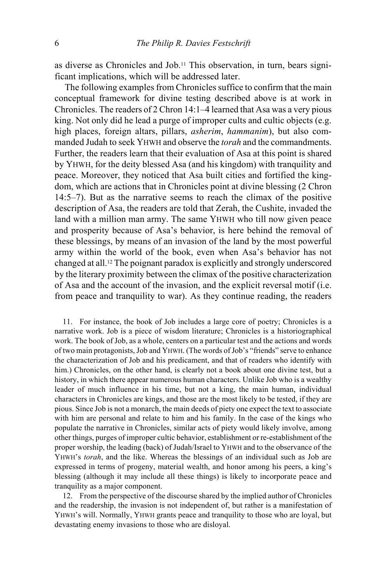as diverse as Chronicles and Job.<sup>11</sup> This observation, in turn, bears significant implications, which will be addressed later.

 The following examples from Chronicles suffice to confirm that the main conceptual framework for divine testing described above is at work in Chronicles. The readers of 2 Chron 14:1–4 learned that Asa was a very pious king. Not only did he lead a purge of improper cults and cultic objects (e.g. high places, foreign altars, pillars, *asherim*, *hammanim*), but also commanded Judah to seek YHWH and observe the *torah* and the commandments. Further, the readers learn that their evaluation of Asa at this point is shared by YHWH, for the deity blessed Asa (and his kingdom) with tranquility and peace. Moreover, they noticed that Asa built cities and fortified the kingdom, which are actions that in Chronicles point at divine blessing (2 Chron 14:5–7). But as the narrative seems to reach the climax of the positive description of Asa, the readers are told that Zerah, the Cushite, invaded the land with a million man army. The same YHWH who till now given peace and prosperity because of Asa's behavior, is here behind the removal of these blessings, by means of an invasion of the land by the most powerful army within the world of the book, even when Asa's behavior has not changed at all.12 The poignant paradox is explicitly and strongly underscored by the literary proximity between the climax of the positive characterization of Asa and the account of the invasion, and the explicit reversal motif (i.e. from peace and tranquility to war). As they continue reading, the readers

 11. For instance, the book of Job includes a large core of poetry; Chronicles is a narrative work. Job is a piece of wisdom literature; Chronicles is a historiographical work. The book of Job, as a whole, centers on a particular test and the actions and words of two main protagonists, Job and YHWH. (The words of Job's "friends" serve to enhance the characterization of Job and his predicament, and that of readers who identify with him.) Chronicles, on the other hand, is clearly not a book about one divine test, but a history, in which there appear numerous human characters. Unlike Job who is a wealthy leader of much influence in his time, but not a king, the main human, individual characters in Chronicles are kings, and those are the most likely to be tested, if they are pious. Since Job is not a monarch, the main deeds of piety one expect the text to associate with him are personal and relate to him and his family. In the case of the kings who populate the narrative in Chronicles, similar acts of piety would likely involve, among other things, purges of improper cultic behavior, establishment or re-establishment of the proper worship, the leading (back) of Judah/Israel to YHWH and to the observance of the YHWH's *torah*, and the like. Whereas the blessings of an individual such as Job are expressed in terms of progeny, material wealth, and honor among his peers, a king's blessing (although it may include all these things) is likely to incorporate peace and tranquility as a major component.

 12. From the perspective of the discourse shared by the implied author of Chronicles and the readership, the invasion is not independent of, but rather is a manifestation of YHWH's will. Normally, YHWH grants peace and tranquility to those who are loyal, but devastating enemy invasions to those who are disloyal.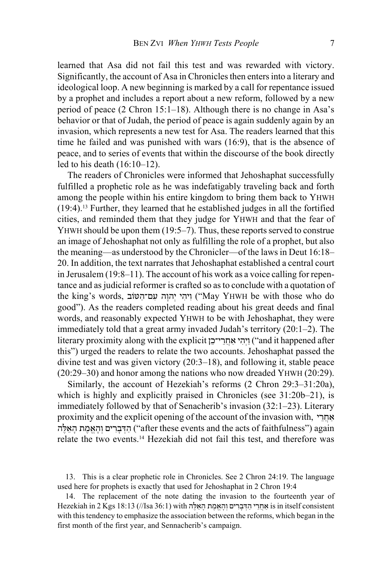learned that Asa did not fail this test and was rewarded with victory. Significantly, the account of Asa in Chronicles then enters into a literary and ideological loop. A new beginning is marked by a call for repentance issued by a prophet and includes a report about a new reform, followed by a new period of peace (2 Chron 15:1–18). Although there is no change in Asa's behavior or that of Judah, the period of peace is again suddenly again by an invasion, which represents a new test for Asa. The readers learned that this time he failed and was punished with wars (16:9), that is the absence of peace, and to series of events that within the discourse of the book directly led to his death (16:10–12).

 The readers of Chronicles were informed that Jehoshaphat successfully fulfilled a prophetic role as he was indefatigably traveling back and forth among the people within his entire kingdom to bring them back to YHWH (19:4).13 Further, they learned that he established judges in all the fortified cities, and reminded them that they judge for YHWH and that the fear of YHWH should be upon them (19:5–7). Thus, these reports served to construe an image of Jehoshaphat not only as fulfilling the role of a prophet, but also the meaning—as understood by the Chronicler—of the laws in Deut 16:18– 20. In addition, the text narrates that Jehoshaphat established a central court in Jerusalem (19:8–11). The account of his work as a voice calling for repentance and as judicial reformer is crafted so as to conclude with a quotation of the king's words, טְוֹהֵי יְהוָה עָם־הַטּוֹב ("May YHWH be with those who do good"). As the readers completed reading about his great deeds and final words, and reasonably expected YHWH to be with Jehoshaphat, they were immediately told that a great army invaded Judah's territory (20:1–2). The literary proximity along with the explicit (יְוֹדִי אָחֲרֵי־כֵן) ("and it happened after this") urged the readers to relate the two accounts. Jehoshaphat passed the divine test and was given victory (20:3–18), and following it, stable peace (20:29–30) and honor among the nations who now dreaded YHWH (20:29).

 Similarly, the account of Hezekiah's reforms (2 Chron 29:3–31:20a), which is highly and explicitly praised in Chronicles (see 31:20b–21), is immediately followed by that of Senacherib's invasion (32:1–23). Literary proximity and the explicit opening of the account of the invasion with, ריֵחֲאַ הדִּבְרִים וְהַאֱמַת הָאֵלָּה ("after these events and the acts of faithfulness") again relate the two events.14 Hezekiah did not fail this test, and therefore was

 13. This is a clear prophetic role in Chronicles. See 2 Chron 24:19. The language used here for prophets is exactly that used for Jehoshaphat in 2 Chron 19:4

 14. The replacement of the note dating the invasion to the fourteenth year of Hezekiah in 2 Kgs 18:13 (//Isa 36:1) with הָאֲמֶת הָאֲלָה is in itself consistent with this tendency to emphasize the association between the reforms, which began in the first month of the first year, and Sennacherib's campaign.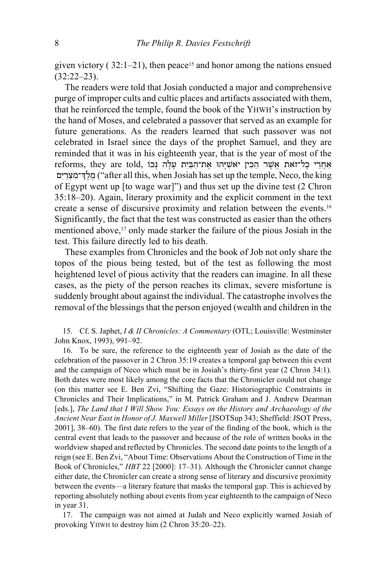given victory  $(32:1-21)$ , then peace<sup>15</sup> and honor among the nations ensued  $(32:22-23)$ .

 The readers were told that Josiah conducted a major and comprehensive purge of improper cults and cultic places and artifacts associated with them, that he reinforced the temple, found the book of the YHWH's instruction by the hand of Moses, and celebrated a passover that served as an example for future generations. As the readers learned that such passover was not celebrated in Israel since the days of the prophet Samuel, and they are reminded that it was in his eighteenth year, that is the year of most of the  $r$ וּ reforms, they are told, אחרי בל־זֹאת אֱשֶׁר הַכִּין יֹאשִׁיּהוּ אֶת־הַבֵּיִת עַלה גָבוֹ יםִרַצְ מִ ך־ְלֶמֶ") after all this, when Josiah has set up the temple, Neco, the king of Egypt went up [to wage war]") and thus set up the divine test (2 Chron 35:18–20). Again, literary proximity and the explicit comment in the text create a sense of discursive proximity and relation between the events.16 Significantly, the fact that the test was constructed as easier than the others mentioned above,<sup>17</sup> only made starker the failure of the pious Josiah in the test. This failure directly led to his death.

 These examples from Chronicles and the book of Job not only share the topos of the pious being tested, but of the test as following the most heightened level of pious activity that the readers can imagine. In all these cases, as the piety of the person reaches its climax, severe misfortune is suddenly brought about against the individual. The catastrophe involves the removal of the blessings that the person enjoyed (wealth and children in the

 15. Cf. S. Japhet, *I & II Chronicles: A Commentary* (OTL; Louisville: Westminster John Knox, 1993), 991–92.

 16. To be sure, the reference to the eighteenth year of Josiah as the date of the celebration of the passover in 2 Chron 35:19 creates a temporal gap between this event and the campaign of Neco which must be in Josiah's thirty-first year (2 Chron 34:1). Both dates were most likely among the core facts that the Chronicler could not change (on this matter see E. Ben Zvi, "Shifting the Gaze: Historiographic Constraints in Chronicles and Their Implications," in M. Patrick Graham and J. Andrew Dearman [eds.], *The Land that I Will Show You: Essays on the History and Archaeology of the Ancient Near East in Honor of J. Maxwell Miller* [JSOTSup 343; Sheffield: JSOT Press, 2001], 38–60). The first date refers to the year of the finding of the book, which is the central event that leads to the passover and because of the role of written books in the worldview shaped and reflected by Chronicles. The second date points to the length of a reign (see E. Ben Zvi, "About Time: Observations About the Construction of Time in the Book of Chronicles," *HBT* 22 [2000]: 17–31). Although the Chronicler cannot change either date, the Chronicler can create a strong sense of literary and discursive proximity between the events—a literary feature that masks the temporal gap. This is achieved by reporting absolutely nothing about events from year eighteenth to the campaign of Neco in year 31.

 17. The campaign was not aimed at Judah and Neco explicitly warned Josiah of provoking YHWH to destroy him (2 Chron 35:20–22).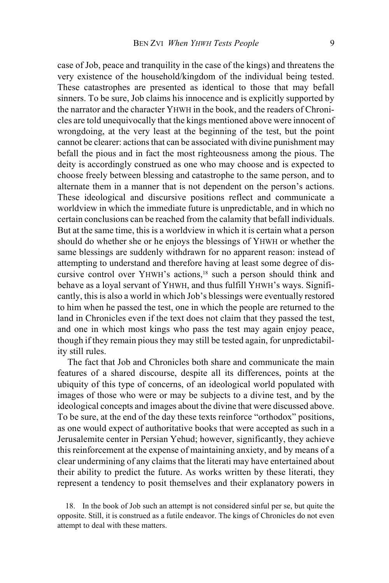case of Job, peace and tranquility in the case of the kings) and threatens the very existence of the household/kingdom of the individual being tested. These catastrophes are presented as identical to those that may befall sinners. To be sure, Job claims his innocence and is explicitly supported by the narrator and the character YHWH in the book, and the readers of Chronicles are told unequivocally that the kings mentioned above were innocent of wrongdoing, at the very least at the beginning of the test, but the point cannot be clearer: actions that can be associated with divine punishment may befall the pious and in fact the most righteousness among the pious. The deity is accordingly construed as one who may choose and is expected to choose freely between blessing and catastrophe to the same person, and to alternate them in a manner that is not dependent on the person's actions. These ideological and discursive positions reflect and communicate a worldview in which the immediate future is unpredictable, and in which no certain conclusions can be reached from the calamity that befall individuals. But at the same time, this is a worldview in which it is certain what a person should do whether she or he enjoys the blessings of YHWH or whether the same blessings are suddenly withdrawn for no apparent reason: instead of attempting to understand and therefore having at least some degree of discursive control over YHWH's actions,<sup>18</sup> such a person should think and behave as a loyal servant of YHWH, and thus fulfill YHWH's ways. Significantly, this is also a world in which Job's blessings were eventually restored to him when he passed the test, one in which the people are returned to the land in Chronicles even if the text does not claim that they passed the test, and one in which most kings who pass the test may again enjoy peace, though if they remain pious they may still be tested again, for unpredictability still rules.

 The fact that Job and Chronicles both share and communicate the main features of a shared discourse, despite all its differences, points at the ubiquity of this type of concerns, of an ideological world populated with images of those who were or may be subjects to a divine test, and by the ideological concepts and images about the divine that were discussed above. To be sure, at the end of the day these texts reinforce "orthodox" positions, as one would expect of authoritative books that were accepted as such in a Jerusalemite center in Persian Yehud; however, significantly, they achieve this reinforcement at the expense of maintaining anxiety, and by means of a clear undermining of any claims that the literati may have entertained about their ability to predict the future. As works written by these literati, they represent a tendency to posit themselves and their explanatory powers in

 18. In the book of Job such an attempt is not considered sinful per se, but quite the opposite. Still, it is construed as a futile endeavor. The kings of Chronicles do not even attempt to deal with these matters.